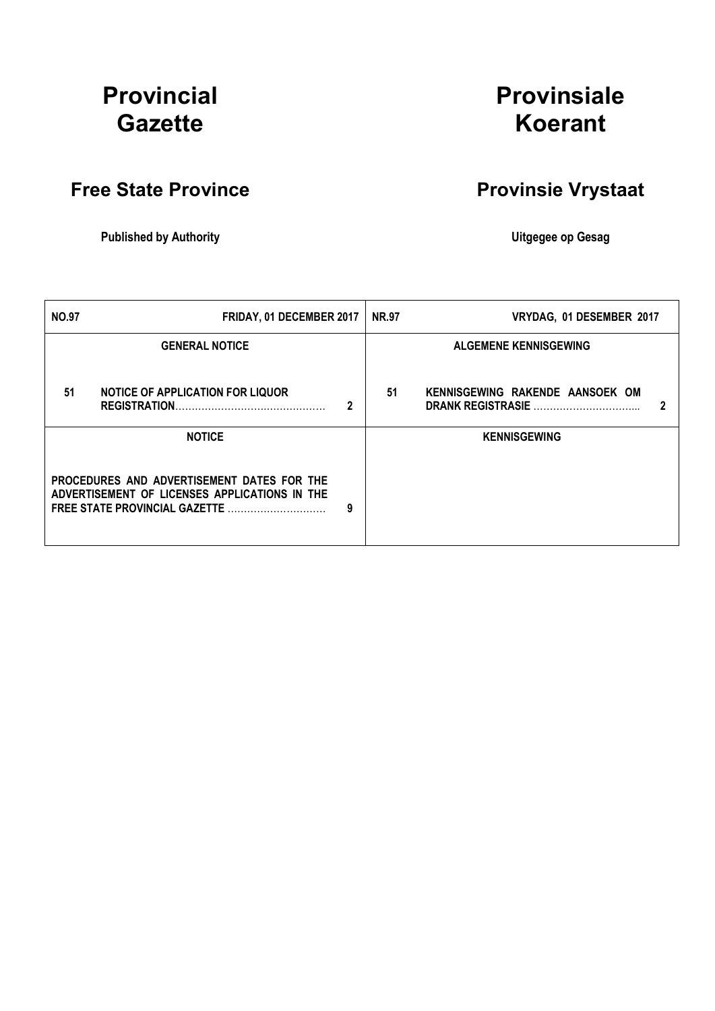# Provincial **Gazette**

# Provinsiale Koerant

# Free State Province **Provinsie Vrystaat**

Published by Authority **National Execution Control Control Control Control Control Control Control Control Control Control Control Control Control Control Control Control Control Control Control Control Control Control Con** 

| <b>NO.97</b>                                                                                                                 | FRIDAY, 01 DECEMBER 2017                                        |   | <b>NR.97</b> | VRYDAG, 01 DESEMBER 2017                                    |  |
|------------------------------------------------------------------------------------------------------------------------------|-----------------------------------------------------------------|---|--------------|-------------------------------------------------------------|--|
|                                                                                                                              | <b>GENERAL NOTICE</b>                                           |   |              | <b>ALGEMENE KENNISGEWING</b>                                |  |
| 51                                                                                                                           | <b>NOTICE OF APPLICATION FOR LIQUOR</b><br><b>REGISTRATION.</b> | 2 | 51           | KENNISGEWING RAKENDE AANSOEK OM<br><b>DRANK REGISTRASIE</b> |  |
|                                                                                                                              | <b>NOTICE</b>                                                   |   |              | <b>KENNISGEWING</b>                                         |  |
| PROCEDURES AND ADVERTISEMENT DATES FOR THE<br>ADVERTISEMENT OF LICENSES APPLICATIONS IN THE<br>FREE STATE PROVINCIAL GAZETTE |                                                                 | 9 |              |                                                             |  |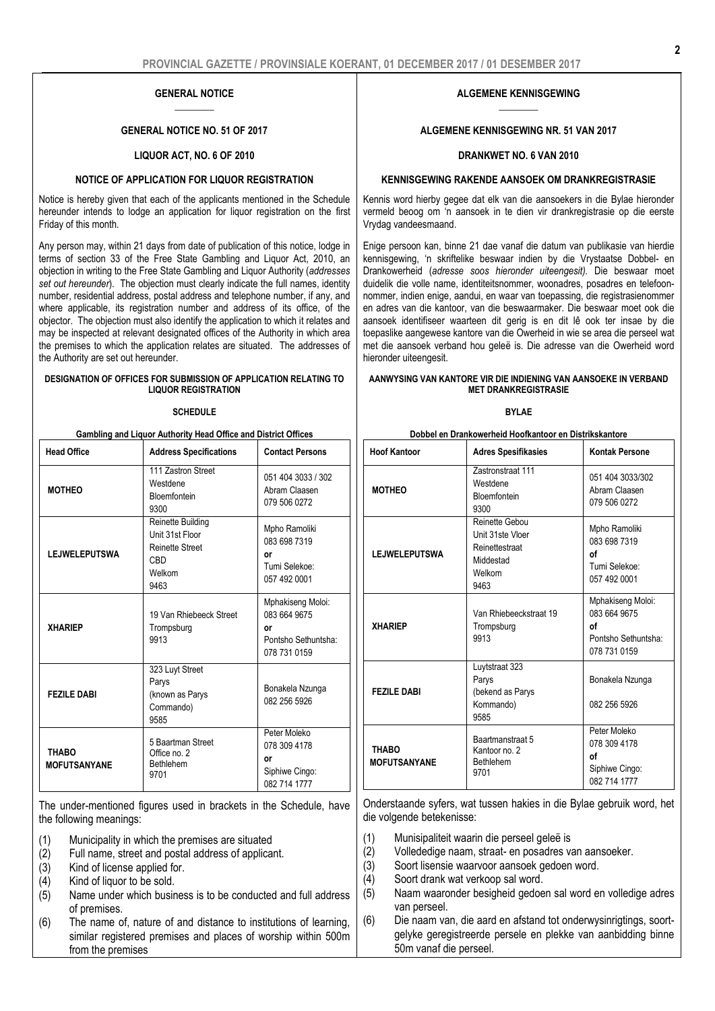#### GENERAL NOTICE  $\overline{\phantom{a}}$

#### GENERAL NOTICE NO. 51 OF 2017

#### LIQUOR ACT, NO. 6 OF 2010

#### NOTICE OF APPLICATION FOR LIQUOR REGISTRATION

Notice is hereby given that each of the applicants mentioned in the Schedule hereunder intends to lodge an application for liquor registration on the first Friday of this month.

Any person may, within 21 days from date of publication of this notice, lodge in terms of section 33 of the Free State Gambling and Liquor Act, 2010, an objection in writing to the Free State Gambling and Liquor Authority (*addresses set out hereunder*). The objection must clearly indicate the full names, identity number, residential address, postal address and telephone number, if any, and where applicable, its registration number and address of its office, of the objector. The objection must also identify the application to which it relates and may be inspected at relevant designated offices of the Authority in which area the premises to which the application relates are situated. The addresses of the Authority are set out hereunder.

#### DESIGNATION OF OFFICES FOR SUBMISSION OF APPLICATION RELATING TO LIQUOR REGISTRATION

#### **SCHEDULE**

| Gambling and Liquor Authority Head Office and District Offices |                                                                                                |                                                                                |
|----------------------------------------------------------------|------------------------------------------------------------------------------------------------|--------------------------------------------------------------------------------|
| <b>Head Office</b>                                             | <b>Address Specifications</b>                                                                  | <b>Contact Persons</b>                                                         |
| <b>MOTHEO</b>                                                  | 111 Zastron Street<br>Westdene<br>Bloemfontein<br>9300                                         | 051 404 3033 / 302<br>Abram Claasen<br>079 506 0272                            |
| <b>LEJWELEPUTSWA</b>                                           | Reinette Building<br>Unit 31st Floor<br><b>Reinette Street</b><br><b>CBD</b><br>Welkom<br>9463 | Mpho Ramoliki<br>083 698 7319<br>or<br>Tumi Selekoe:<br>057 492 0001           |
| <b>XHARIEP</b>                                                 | 19 Van Rhiebeeck Street<br>Trompsburg<br>9913                                                  | Mphakiseng Moloi:<br>083 664 9675<br>or<br>Pontsho Sethuntsha:<br>078 731 0159 |
| <b>FEZILE DABI</b>                                             | 323 Luyt Street<br>Parys<br>(known as Parys<br>Commando)<br>9585                               | Bonakela Nzunga<br>082 256 5926                                                |
| <b>THABO</b><br><b>MOFUTSANYANE</b>                            | 5 Baartman Street<br>Office no. 2<br><b>Bethlehem</b><br>9701                                  | Peter Moleko<br>078 309 4178<br>o٢<br>Siphiwe Cingo:<br>082 714 1777           |

The under-mentioned figures used in brackets in the Schedule, have the following meanings:

- (1) Municipality in which the premises are situated
- (2) Full name, street and postal address of applicant.
- $(3)$  Kind of license applied for.<br> $(4)$  Kind of liquor to be sold.
- Kind of liquor to be sold.
- $(5)$  Name under which business is to be conducted and full address of premises.
- (6) The name of, nature of and distance to institutions of learning, similar registered premises and places of worship within 500m from the premises

#### ALGEMENE KENNISGEWING  $\overline{\phantom{a}}$

#### ALGEMENE KENNISGEWING NR. 51 VAN 2017

#### DRANKWET NO. 6 VAN 2010

#### KENNISGEWING RAKENDE AANSOEK OM DRANKREGISTRASIE

Kennis word hierby gegee dat elk van die aansoekers in die Bylae hieronder vermeld beoog om 'n aansoek in te dien vir drankregistrasie op die eerste Vrydag vandeesmaand.

Enige persoon kan, binne 21 dae vanaf die datum van publikasie van hierdie kennisgewing, 'n skriftelike beswaar indien by die Vrystaatse Dobbel- en Drankowerheid (*adresse soos hieronder uiteengesit).* Die beswaar moet duidelik die volle name, identiteitsnommer, woonadres, posadres en telefoonnommer, indien enige, aandui, en waar van toepassing, die registrasienommer en adres van die kantoor, van die beswaarmaker. Die beswaar moet ook die aansoek identifiseer waarteen dit gerig is en dit lê ook ter insae by die toepaslike aangewese kantore van die Owerheid in wie se area die perseel wat met die aansoek verband hou geleë is. Die adresse van die Owerheid word hieronder uiteengesit.

#### AANWYSING VAN KANTORE VIR DIE INDIENING VAN AANSOEKE IN VERBAND MET DRANKREGISTRASIE

#### BYLAE

| Dobbel en Drankowerheid Hoofkantoor en Distrikskantore |  |
|--------------------------------------------------------|--|
|--------------------------------------------------------|--|

| <b>Hoof Kantoor</b>                 | <b>Adres Spesifikasies</b>                                                          | Kontak Persone                                                                 |
|-------------------------------------|-------------------------------------------------------------------------------------|--------------------------------------------------------------------------------|
| <b>MOTHEO</b>                       | <b>Zastronstraat 111</b><br>Westdene<br>Bloemfontein<br>9300                        | 051 404 3033/302<br>Abram Claasen<br>079 506 0272                              |
| <b>LEJWELEPUTSWA</b>                | Reinette Gebou<br>Unit 31ste Vloer<br>Reinettestraat<br>Middestad<br>Welkom<br>9463 | Mpho Ramoliki<br>083 698 7319<br>οf<br>Tumi Selekoe:<br>057 492 0001           |
| <b>XHARIEP</b>                      | Van Rhiebeeckstraat 19<br>Trompsburg<br>9913                                        | Mphakiseng Moloi:<br>083 664 9675<br>οf<br>Pontsho Sethuntsha:<br>078 731 0159 |
| <b>FEZILE DABI</b>                  | Luytstraat 323<br>Parys<br>(bekend as Parys<br>Kommando)<br>9585                    | Bonakela Nzunga<br>082 256 5926                                                |
| <b>THABO</b><br><b>MOFUTSANYANE</b> | Baartmanstraat 5<br>Kantoor no. 2<br><b>Bethlehem</b><br>9701                       | Peter Moleko<br>078 309 4178<br>οf<br>Siphiwe Cingo:<br>082 714 1777           |

Onderstaande syfers, wat tussen hakies in die Bylae gebruik word, het die volgende betekenisse:

- (1) Munisipaliteit waarin die perseel geleë is
- (2) Vollededige naam, straat- en posadres van aansoeker.
- (3) Soort lisensie waarvoor aansoek gedoen word.
- (4) Soort drank wat verkoop sal word.
- (5) Naam waaronder besigheid gedoen sal word en volledige adres van perseel.
- (6) Die naam van, die aard en afstand tot onderwysinrigtings, soortgelyke geregistreerde persele en plekke van aanbidding binne 50m vanaf die perseel.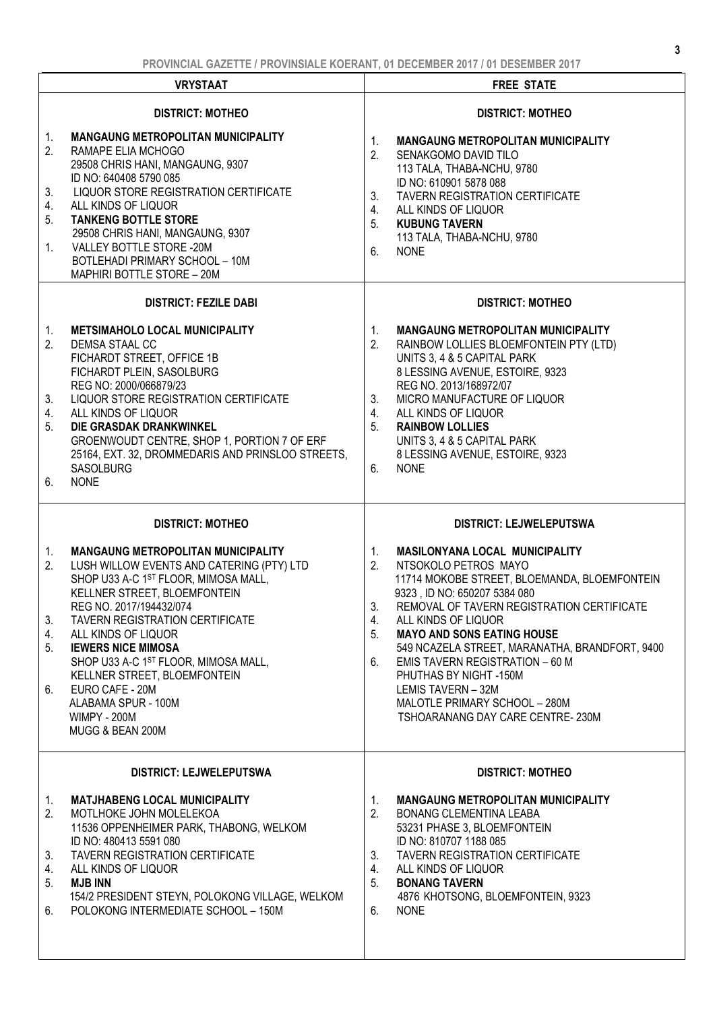|                                  | <b>VRYSTAAT</b>                                                                                                                                                                                                                                                                                                                                                                                                                               | <b>FREE STATE</b>                                                                                                                                                                                                                                                                                                                                                                                                                                                                                             |
|----------------------------------|-----------------------------------------------------------------------------------------------------------------------------------------------------------------------------------------------------------------------------------------------------------------------------------------------------------------------------------------------------------------------------------------------------------------------------------------------|---------------------------------------------------------------------------------------------------------------------------------------------------------------------------------------------------------------------------------------------------------------------------------------------------------------------------------------------------------------------------------------------------------------------------------------------------------------------------------------------------------------|
|                                  | <b>DISTRICT: MOTHEO</b>                                                                                                                                                                                                                                                                                                                                                                                                                       | <b>DISTRICT: MOTHEO</b>                                                                                                                                                                                                                                                                                                                                                                                                                                                                                       |
| 1.<br>2.<br>3.<br>4.<br>5.<br>1. | <b>MANGAUNG METROPOLITAN MUNICIPALITY</b><br>RAMAPE ELIA MCHOGO<br>29508 CHRIS HANI, MANGAUNG, 9307<br>ID NO: 640408 5790 085<br>LIQUOR STORE REGISTRATION CERTIFICATE<br>ALL KINDS OF LIQUOR<br><b>TANKENG BOTTLE STORE</b><br>29508 CHRIS HANI, MANGAUNG, 9307<br>VALLEY BOTTLE STORE -20M<br>BOTLEHADI PRIMARY SCHOOL - 10M<br>MAPHIRI BOTTLE STORE - 20M                                                                                  | <b>MANGAUNG METROPOLITAN MUNICIPALITY</b><br>1.<br>2.<br>SENAKGOMO DAVID TILO<br>113 TALA, THABA-NCHU, 9780<br>ID NO: 610901 5878 088<br><b>TAVERN REGISTRATION CERTIFICATE</b><br>3.<br>4.<br>ALL KINDS OF LIQUOR<br><b>KUBUNG TAVERN</b><br>5.<br>113 TALA, THABA-NCHU, 9780<br>6.<br><b>NONE</b>                                                                                                                                                                                                           |
|                                  | <b>DISTRICT: FEZILE DABI</b>                                                                                                                                                                                                                                                                                                                                                                                                                  | <b>DISTRICT: MOTHEO</b>                                                                                                                                                                                                                                                                                                                                                                                                                                                                                       |
| 1.<br>2.<br>3.<br>4.<br>5.<br>6. | <b>METSIMAHOLO LOCAL MUNICIPALITY</b><br>DEMSA STAAL CC<br>FICHARDT STREET, OFFICE 1B<br>FICHARDT PLEIN, SASOLBURG<br>REG NO: 2000/066879/23<br>LIQUOR STORE REGISTRATION CERTIFICATE<br>ALL KINDS OF LIQUOR<br>DIE GRASDAK DRANKWINKEL<br>GROENWOUDT CENTRE, SHOP 1, PORTION 7 OF ERF<br>25164, EXT. 32, DROMMEDARIS AND PRINSLOO STREETS,<br>SASOLBURG<br><b>NONE</b>                                                                       | <b>MANGAUNG METROPOLITAN MUNICIPALITY</b><br>1.<br>2.<br>RAINBOW LOLLIES BLOEMFONTEIN PTY (LTD)<br>UNITS 3, 4 & 5 CAPITAL PARK<br>8 LESSING AVENUE, ESTOIRE, 9323<br>REG NO. 2013/168972/07<br>3.<br>MICRO MANUFACTURE OF LIQUOR<br>4.<br>ALL KINDS OF LIQUOR<br>5.<br><b>RAINBOW LOLLIES</b><br>UNITS 3, 4 & 5 CAPITAL PARK<br>8 LESSING AVENUE, ESTOIRE, 9323<br><b>NONE</b><br>6.                                                                                                                          |
|                                  | <b>DISTRICT: MOTHEO</b>                                                                                                                                                                                                                                                                                                                                                                                                                       | <b>DISTRICT: LEJWELEPUTSWA</b>                                                                                                                                                                                                                                                                                                                                                                                                                                                                                |
| 1.                               |                                                                                                                                                                                                                                                                                                                                                                                                                                               |                                                                                                                                                                                                                                                                                                                                                                                                                                                                                                               |
| 2.<br>3.<br>4.<br>5.<br>6.       | <b>MANGAUNG METROPOLITAN MUNICIPALITY</b><br>LUSH WILLOW EVENTS AND CATERING (PTY) LTD<br>SHOP U33 A-C 1ST FLOOR, MIMOSA MALL,<br>KELLNER STREET, BLOEMFONTEIN<br>REG NO. 2017/194432/074<br>TAVERN REGISTRATION CERTIFICATE<br>ALL KINDS OF LIQUOR<br><b>IEWERS NICE MIMOSA</b><br>SHOP U33 A-C 1ST FLOOR, MIMOSA MALL,<br>KELLNER STREET, BLOEMFONTEIN<br>EURO CAFE - 20M<br>ALABAMA SPUR - 100M<br><b>WIMPY - 200M</b><br>MUGG & BEAN 200M | <b>MASILONYANA LOCAL MUNICIPALITY</b><br>$1_{\cdot}$<br>2.<br>NTSOKOLO PETROS MAYO<br>11714 MOKOBE STREET, BLOEMANDA, BLOEMFONTEIN<br>9323, ID NO: 650207 5384 080<br>REMOVAL OF TAVERN REGISTRATION CERTIFICATE<br>3.<br>ALL KINDS OF LIQUOR<br>4.<br><b>MAYO AND SONS EATING HOUSE</b><br>5.<br>549 NCAZELA STREET, MARANATHA, BRANDFORT, 9400<br>EMIS TAVERN REGISTRATION - 60 M<br>6.<br>PHUTHAS BY NIGHT-150M<br>LEMIS TAVERN - 32M<br>MALOTLE PRIMARY SCHOOL - 280M<br>TSHOARANANG DAY CARE CENTRE-230M |
|                                  | <b>DISTRICT: LEJWELEPUTSWA</b>                                                                                                                                                                                                                                                                                                                                                                                                                | <b>DISTRICT: MOTHEO</b>                                                                                                                                                                                                                                                                                                                                                                                                                                                                                       |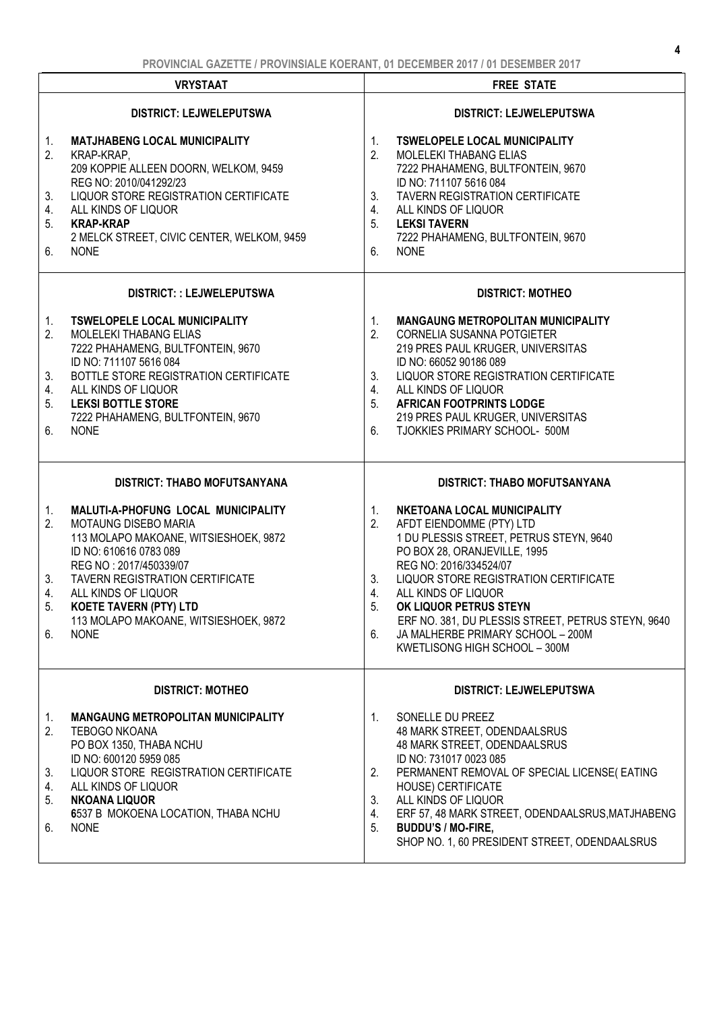|                                  | <b>VRYSTAAT</b>                                                                                                                                                                                                                                                      | <b>FREE STATE</b>                                                                                                                                                                                                                                                                                                                                                              |
|----------------------------------|----------------------------------------------------------------------------------------------------------------------------------------------------------------------------------------------------------------------------------------------------------------------|--------------------------------------------------------------------------------------------------------------------------------------------------------------------------------------------------------------------------------------------------------------------------------------------------------------------------------------------------------------------------------|
|                                  | <b>DISTRICT: LEJWELEPUTSWA</b>                                                                                                                                                                                                                                       | <b>DISTRICT: LEJWELEPUTSWA</b>                                                                                                                                                                                                                                                                                                                                                 |
| 1.<br>2.                         | <b>MATJHABENG LOCAL MUNICIPALITY</b><br>KRAP-KRAP,<br>209 KOPPIE ALLEEN DOORN, WELKOM, 9459<br>REG NO: 2010/041292/23                                                                                                                                                | 1.<br><b>TSWELOPELE LOCAL MUNICIPALITY</b><br>2.<br><b>MOLELEKI THABANG ELIAS</b><br>7222 PHAHAMENG, BULTFONTEIN, 9670<br>ID NO: 711107 5616 084                                                                                                                                                                                                                               |
| 3.<br>4.<br>5.                   | LIQUOR STORE REGISTRATION CERTIFICATE<br>ALL KINDS OF LIQUOR<br><b>KRAP-KRAP</b>                                                                                                                                                                                     | 3.<br><b>TAVERN REGISTRATION CERTIFICATE</b><br>4.<br>ALL KINDS OF LIQUOR<br>5.<br><b>LEKSI TAVERN</b>                                                                                                                                                                                                                                                                         |
| 6.                               | 2 MELCK STREET, CIVIC CENTER, WELKOM, 9459<br><b>NONE</b>                                                                                                                                                                                                            | 7222 PHAHAMENG, BULTFONTEIN, 9670<br>6.<br><b>NONE</b>                                                                                                                                                                                                                                                                                                                         |
|                                  | DISTRICT:: LEJWELEPUTSWA                                                                                                                                                                                                                                             | <b>DISTRICT: MOTHEO</b>                                                                                                                                                                                                                                                                                                                                                        |
| 1.<br>2.                         | <b>TSWELOPELE LOCAL MUNICIPALITY</b><br>MOLELEKI THABANG ELIAS<br>7222 PHAHAMENG, BULTFONTEIN, 9670<br>ID NO: 711107 5616 084                                                                                                                                        | <b>MANGAUNG METROPOLITAN MUNICIPALITY</b><br>1.<br>2.<br>CORNELIA SUSANNA POTGIETER<br>219 PRES PAUL KRUGER, UNIVERSITAS<br>ID NO: 66052 90186 089                                                                                                                                                                                                                             |
| 3.<br>4.<br>5.                   | BOTTLE STORE REGISTRATION CERTIFICATE<br>ALL KINDS OF LIQUOR<br><b>LEKSI BOTTLE STORE</b>                                                                                                                                                                            | LIQUOR STORE REGISTRATION CERTIFICATE<br>3.<br>ALL KINDS OF LIQUOR<br>4.<br><b>AFRICAN FOOTPRINTS LODGE</b><br>5.                                                                                                                                                                                                                                                              |
| 6.                               | 7222 PHAHAMENG, BULTFONTEIN, 9670<br><b>NONE</b>                                                                                                                                                                                                                     | 219 PRES PAUL KRUGER, UNIVERSITAS<br>6.<br>TJOKKIES PRIMARY SCHOOL- 500M                                                                                                                                                                                                                                                                                                       |
|                                  |                                                                                                                                                                                                                                                                      |                                                                                                                                                                                                                                                                                                                                                                                |
|                                  | <b>DISTRICT: THABO MOFUTSANYANA</b>                                                                                                                                                                                                                                  | <b>DISTRICT: THABO MOFUTSANYANA</b>                                                                                                                                                                                                                                                                                                                                            |
| 1.<br>2.                         | MALUTI-A-PHOFUNG LOCAL MUNICIPALITY<br><b>MOTAUNG DISEBO MARIA</b><br>113 MOLAPO MAKOANE, WITSIESHOEK, 9872<br>ID NO: 610616 0783 089<br>REG NO: 2017/450339/07                                                                                                      | 1.<br>NKETOANA LOCAL MUNICIPALITY<br>2.<br>AFDT EIENDOMME (PTY) LTD<br>1 DU PLESSIS STREET, PETRUS STEYN, 9640<br>PO BOX 28, ORANJEVILLE, 1995<br>REG NO: 2016/334524/07                                                                                                                                                                                                       |
| 3.<br>4.                         | <b>TAVERN REGISTRATION CERTIFICATE</b><br>ALL KINDS OF LIQUOR                                                                                                                                                                                                        | 3.<br>LIQUOR STORE REGISTRATION CERTIFICATE<br>4.<br>ALL KINDS OF LIQUOR                                                                                                                                                                                                                                                                                                       |
| 5.<br>6.                         | <b>KOETE TAVERN (PTY) LTD</b><br>113 MOLAPO MAKOANE, WITSIESHOEK, 9872<br><b>NONE</b>                                                                                                                                                                                | 5.<br>OK LIQUOR PETRUS STEYN<br>ERF NO. 381, DU PLESSIS STREET, PETRUS STEYN, 9640<br>JA MALHERBE PRIMARY SCHOOL - 200M<br>6.<br>KWETLISONG HIGH SCHOOL - 300M                                                                                                                                                                                                                 |
|                                  | <b>DISTRICT: MOTHEO</b>                                                                                                                                                                                                                                              | <b>DISTRICT: LEJWELEPUTSWA</b>                                                                                                                                                                                                                                                                                                                                                 |
| 1.<br>2.<br>3.<br>4.<br>5.<br>6. | <b>MANGAUNG METROPOLITAN MUNICIPALITY</b><br><b>TEBOGO NKOANA</b><br>PO BOX 1350, THABA NCHU<br>ID NO: 600120 5959 085<br>LIQUOR STORE REGISTRATION CERTIFICATE<br>ALL KINDS OF LIQUOR<br><b>NKOANA LIQUOR</b><br>6537 B MOKOENA LOCATION, THABA NCHU<br><b>NONE</b> | SONELLE DU PREEZ<br>1.<br>48 MARK STREET, ODENDAALSRUS<br>48 MARK STREET, ODENDAALSRUS<br>ID NO: 731017 0023 085<br>PERMANENT REMOVAL OF SPECIAL LICENSE( EATING<br>2.<br><b>HOUSE) CERTIFICATE</b><br>ALL KINDS OF LIQUOR<br>3.<br>ERF 57, 48 MARK STREET, ODENDAALSRUS, MATJHABENG<br>4.<br>5.<br><b>BUDDU'S / MO-FIRE,</b><br>SHOP NO. 1, 60 PRESIDENT STREET, ODENDAALSRUS |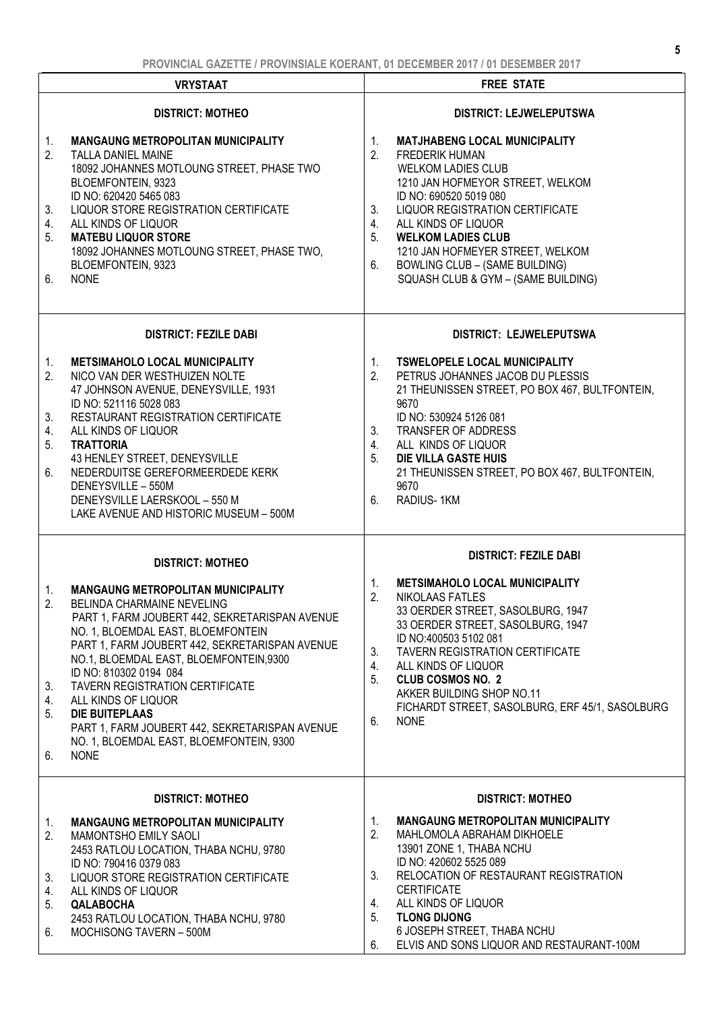| <u>FNUVINUME UAZETTE / FNUVINJIALE NUENAINT, VI DEUEINDEN ZVIT / VI DEJEINDEN ZVIT</u> |                                                                                                                                                                                                                                                                                                                                                                                                                                                                                              |                                                                                                                                                                                                                                                                                                                                                                                                         |
|----------------------------------------------------------------------------------------|----------------------------------------------------------------------------------------------------------------------------------------------------------------------------------------------------------------------------------------------------------------------------------------------------------------------------------------------------------------------------------------------------------------------------------------------------------------------------------------------|---------------------------------------------------------------------------------------------------------------------------------------------------------------------------------------------------------------------------------------------------------------------------------------------------------------------------------------------------------------------------------------------------------|
|                                                                                        | <b>VRYSTAAT</b>                                                                                                                                                                                                                                                                                                                                                                                                                                                                              | <b>FREE STATE</b>                                                                                                                                                                                                                                                                                                                                                                                       |
|                                                                                        | <b>DISTRICT: MOTHEO</b>                                                                                                                                                                                                                                                                                                                                                                                                                                                                      | <b>DISTRICT: LEJWELEPUTSWA</b>                                                                                                                                                                                                                                                                                                                                                                          |
| 1.<br>2.<br>3.<br>4.<br>5.<br>6.                                                       | <b>MANGAUNG METROPOLITAN MUNICIPALITY</b><br>TALLA DANIEL MAINE<br>18092 JOHANNES MOTLOUNG STREET, PHASE TWO<br>BLOEMFONTEIN, 9323<br>ID NO: 620420 5465 083<br>LIQUOR STORE REGISTRATION CERTIFICATE<br>ALL KINDS OF LIQUOR<br><b>MATEBU LIQUOR STORE</b><br>18092 JOHANNES MOTLOUNG STREET, PHASE TWO,<br>BLOEMFONTEIN, 9323<br><b>NONE</b>                                                                                                                                                | 1.<br><b>MATJHABENG LOCAL MUNICIPALITY</b><br>2.<br><b>FREDERIK HUMAN</b><br><b>WELKOM LADIES CLUB</b><br>1210 JAN HOFMEYOR STREET, WELKOM<br>ID NO: 690520 5019 080<br>LIQUOR REGISTRATION CERTIFICATE<br>3.<br>4.<br>ALL KINDS OF LIQUOR<br>5.<br><b>WELKOM LADIES CLUB</b><br>1210 JAN HOFMEYER STREET, WELKOM<br><b>BOWLING CLUB - (SAME BUILDING)</b><br>6.<br>SQUASH CLUB & GYM - (SAME BUILDING) |
|                                                                                        | <b>DISTRICT: FEZILE DABI</b>                                                                                                                                                                                                                                                                                                                                                                                                                                                                 | DISTRICT: LEJWELEPUTSWA                                                                                                                                                                                                                                                                                                                                                                                 |
| 1.<br>2.<br>3.<br>4.<br>5.<br>6.                                                       | <b>METSIMAHOLO LOCAL MUNICIPALITY</b><br>NICO VAN DER WESTHUIZEN NOLTE<br>47 JOHNSON AVENUE, DENEYSVILLE, 1931<br>ID NO: 521116 5028 083<br>RESTAURANT REGISTRATION CERTIFICATE<br>ALL KINDS OF LIQUOR<br><b>TRATTORIA</b><br>43 HENLEY STREET, DENEYSVILLE<br>NEDERDUITSE GEREFORMEERDEDE KERK<br>DENEYSVILLE - 550M<br>DENEYSVILLE LAERSKOOL - 550 M<br>LAKE AVENUE AND HISTORIC MUSEUM - 500M                                                                                             | <b>TSWELOPELE LOCAL MUNICIPALITY</b><br>1.<br>2.<br>PETRUS JOHANNES JACOB DU PLESSIS<br>21 THEUNISSEN STREET, PO BOX 467, BULTFONTEIN,<br>9670<br>ID NO: 530924 5126 081<br>TRANSFER OF ADDRESS<br>3.<br>4.<br>ALL KINDS OF LIQUOR<br><b>DIE VILLA GASTE HUIS</b><br>5.<br>21 THEUNISSEN STREET, PO BOX 467, BULTFONTEIN,<br>9670<br>RADIUS-1KM<br>6.                                                   |
|                                                                                        | <b>DISTRICT: MOTHEO</b>                                                                                                                                                                                                                                                                                                                                                                                                                                                                      | <b>DISTRICT: FEZILE DABI</b>                                                                                                                                                                                                                                                                                                                                                                            |
| 1.<br>2.<br>3.<br>4.<br>5.<br>6.                                                       | <b>MANGAUNG METROPOLITAN MUNICIPALITY</b><br>BELINDA CHARMAINE NEVELING<br>PART 1, FARM JOUBERT 442, SEKRETARISPAN AVENUE<br>NO. 1, BLOEMDAL EAST, BLOEMFONTEIN<br>PART 1, FARM JOUBERT 442, SEKRETARISPAN AVENUE<br>NO.1, BLOEMDAL EAST, BLOEMFONTEIN,9300<br>ID NO: 810302 0194 084<br><b>TAVERN REGISTRATION CERTIFICATE</b><br>ALL KINDS OF LIQUOR<br><b>DIE BUITEPLAAS</b><br>PART 1, FARM JOUBERT 442, SEKRETARISPAN AVENUE<br>NO. 1, BLOEMDAL EAST, BLOEMFONTEIN, 9300<br><b>NONE</b> | <b>METSIMAHOLO LOCAL MUNICIPALITY</b><br>1.<br>2.<br><b>NIKOLAAS FATLES</b><br>33 OERDER STREET, SASOLBURG, 1947<br>33 OERDER STREET, SASOLBURG, 1947<br>ID NO:400503 5102 081<br>TAVERN REGISTRATION CERTIFICATE<br>3.<br>ALL KINDS OF LIQUOR<br>4.<br>5.<br><b>CLUB COSMOS NO. 2</b><br>AKKER BUILDING SHOP NO.11<br>FICHARDT STREET, SASOLBURG, ERF 45/1, SASOLBURG<br><b>NONE</b><br>6.             |
|                                                                                        | <b>DISTRICT: MOTHEO</b>                                                                                                                                                                                                                                                                                                                                                                                                                                                                      | <b>DISTRICT: MOTHEO</b>                                                                                                                                                                                                                                                                                                                                                                                 |
| 1.<br>2.<br>3.<br>4.<br>5.<br>6.                                                       | <b>MANGAUNG METROPOLITAN MUNICIPALITY</b><br>MAMONTSHO EMILY SAOLI<br>2453 RATLOU LOCATION, THABA NCHU, 9780<br>ID NO: 790416 0379 083<br>LIQUOR STORE REGISTRATION CERTIFICATE<br>ALL KINDS OF LIQUOR<br><b>QALABOCHA</b><br>2453 RATLOU LOCATION, THABA NCHU, 9780<br>MOCHISONG TAVERN - 500M                                                                                                                                                                                              | <b>MANGAUNG METROPOLITAN MUNICIPALITY</b><br>1.<br>2.<br>MAHLOMOLA ABRAHAM DIKHOELE<br>13901 ZONE 1, THABA NCHU<br>ID NO: 420602 5525 089<br>RELOCATION OF RESTAURANT REGISTRATION<br>3.<br><b>CERTIFICATE</b><br>ALL KINDS OF LIQUOR<br>4.<br><b>TLONG DIJONG</b><br>5.<br>6 JOSEPH STREET, THABA NCHU<br>ELVIS AND SONS LIQUOR AND RESTAURANT-100M<br>6.                                              |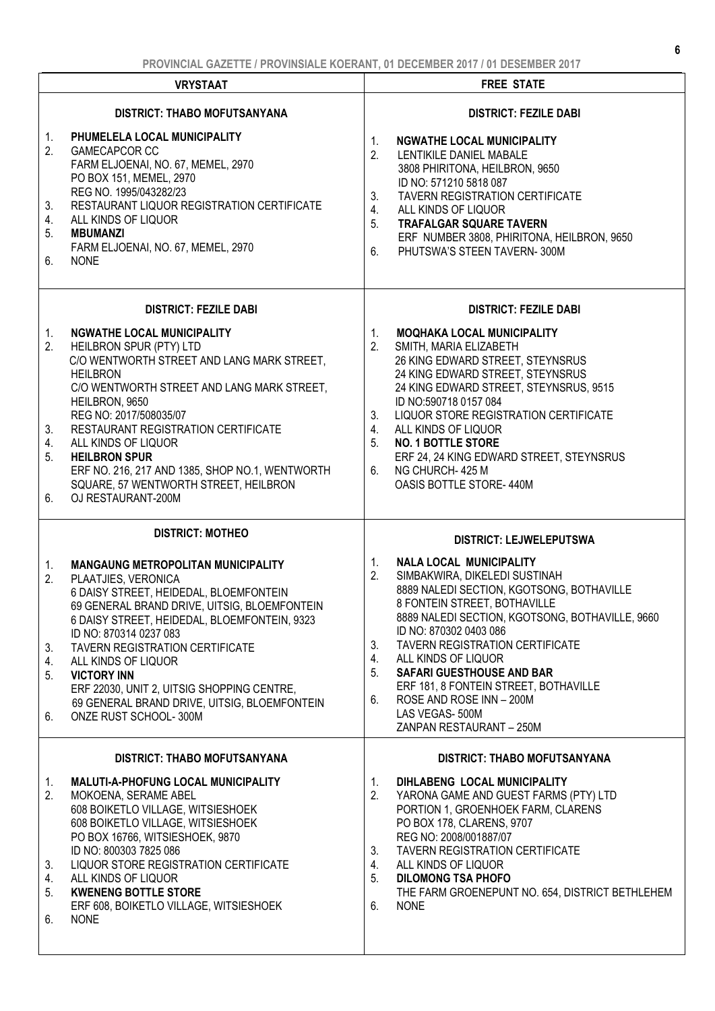|                                  | . NY MARIASARA LA LE LE LA NY MARIASA NY SIATRA LA LA SEVEMBENZA ILI LA LUSSIMBENZA ILI                                                                                                                                                                                                                                                                                                                                                            |                                                                                                                                                                                                                                                                                                                                                                                                                                                                                       |
|----------------------------------|----------------------------------------------------------------------------------------------------------------------------------------------------------------------------------------------------------------------------------------------------------------------------------------------------------------------------------------------------------------------------------------------------------------------------------------------------|---------------------------------------------------------------------------------------------------------------------------------------------------------------------------------------------------------------------------------------------------------------------------------------------------------------------------------------------------------------------------------------------------------------------------------------------------------------------------------------|
|                                  | <b>VRYSTAAT</b>                                                                                                                                                                                                                                                                                                                                                                                                                                    | <b>FREE STATE</b>                                                                                                                                                                                                                                                                                                                                                                                                                                                                     |
|                                  | <b>DISTRICT: THABO MOFUTSANYANA</b>                                                                                                                                                                                                                                                                                                                                                                                                                | <b>DISTRICT: FEZILE DABI</b>                                                                                                                                                                                                                                                                                                                                                                                                                                                          |
| 1.<br>2.<br>3.<br>4.<br>5.<br>6. | PHUMELELA LOCAL MUNICIPALITY<br><b>GAMECAPCOR CC</b><br>FARM ELJOENAI, NO. 67, MEMEL, 2970<br>PO BOX 151, MEMEL, 2970<br>REG NO. 1995/043282/23<br>RESTAURANT LIQUOR REGISTRATION CERTIFICATE<br>ALL KINDS OF LIQUOR<br><b>MBUMANZI</b><br>FARM ELJOENAI, NO. 67, MEMEL, 2970<br><b>NONE</b>                                                                                                                                                       | 1.<br><b>NGWATHE LOCAL MUNICIPALITY</b><br>2.<br>LENTIKILE DANIEL MABALE<br>3808 PHIRITONA, HEILBRON, 9650<br>ID NO: 571210 5818 087<br><b>TAVERN REGISTRATION CERTIFICATE</b><br>3.<br>4.<br>ALL KINDS OF LIQUOR<br>5.<br><b>TRAFALGAR SQUARE TAVERN</b><br>ERF NUMBER 3808, PHIRITONA, HEILBRON, 9650<br>PHUTSWA'S STEEN TAVERN-300M<br>6.                                                                                                                                          |
|                                  | <b>DISTRICT: FEZILE DABI</b>                                                                                                                                                                                                                                                                                                                                                                                                                       | <b>DISTRICT: FEZILE DABI</b>                                                                                                                                                                                                                                                                                                                                                                                                                                                          |
| 1.<br>2.<br>3.<br>4.<br>5.<br>6. | <b>NGWATHE LOCAL MUNICIPALITY</b><br>HEILBRON SPUR (PTY) LTD<br>C/O WENTWORTH STREET AND LANG MARK STREET,<br><b>HEILBRON</b><br>C/O WENTWORTH STREET AND LANG MARK STREET,<br>HEILBRON, 9650<br>REG NO: 2017/508035/07<br>RESTAURANT REGISTRATION CERTIFICATE<br>ALL KINDS OF LIQUOR<br><b>HEILBRON SPUR</b><br>ERF NO. 216, 217 AND 1385, SHOP NO.1, WENTWORTH<br>SQUARE, 57 WENTWORTH STREET, HEILBRON<br>OJ RESTAURANT-200M                    | 1.<br><b>MOQHAKA LOCAL MUNICIPALITY</b><br>SMITH, MARIA ELIZABETH<br>2.<br>26 KING EDWARD STREET, STEYNSRUS<br>24 KING EDWARD STREET, STEYNSRUS<br>24 KING EDWARD STREET, STEYNSRUS, 9515<br>ID NO:590718 0157 084<br>LIQUOR STORE REGISTRATION CERTIFICATE<br>3.<br>4.<br>ALL KINDS OF LIQUOR<br><b>NO. 1 BOTTLE STORE</b><br>5.<br>ERF 24, 24 KING EDWARD STREET, STEYNSRUS<br>6.<br>NG CHURCH-425 M<br>OASIS BOTTLE STORE-440M                                                     |
|                                  | <b>DISTRICT: MOTHEO</b>                                                                                                                                                                                                                                                                                                                                                                                                                            | <b>DISTRICT: LEJWELEPUTSWA</b>                                                                                                                                                                                                                                                                                                                                                                                                                                                        |
| 1.<br>2.<br>3.<br>4.<br>5.<br>6. | <b>MANGAUNG METROPOLITAN MUNICIPALITY</b><br>PLAATJIES, VERONICA<br>6 DAISY STREET, HEIDEDAL, BLOEMFONTEIN<br>69 GENERAL BRAND DRIVE, UITSIG, BLOEMFONTEIN<br>6 DAISY STREET, HEIDEDAL, BLOEMFONTEIN, 9323<br>ID NO: 870314 0237 083<br><b>TAVERN REGISTRATION CERTIFICATE</b><br>ALL KINDS OF LIQUOR<br><b>VICTORY INN</b><br>ERF 22030, UNIT 2, UITSIG SHOPPING CENTRE,<br>69 GENERAL BRAND DRIVE, UITSIG, BLOEMFONTEIN<br>ONZE RUST SCHOOL-300M | 1.<br><b>NALA LOCAL MUNICIPALITY</b><br>2.<br>SIMBAKWIRA, DIKELEDI SUSTINAH<br>8889 NALEDI SECTION, KGOTSONG, BOTHAVILLE<br>8 FONTEIN STREET, BOTHAVILLE<br>8889 NALEDI SECTION, KGOTSONG, BOTHAVILLE, 9660<br>ID NO: 870302 0403 086<br>3.<br><b>TAVERN REGISTRATION CERTIFICATE</b><br>ALL KINDS OF LIQUOR<br>4.<br>5.<br><b>SAFARI GUESTHOUSE AND BAR</b><br>ERF 181, 8 FONTEIN STREET, BOTHAVILLE<br>ROSE AND ROSE INN - 200M<br>6.<br>LAS VEGAS-500M<br>ZANPAN RESTAURANT - 250M |
|                                  | <b>DISTRICT: THABO MOFUTSANYANA</b>                                                                                                                                                                                                                                                                                                                                                                                                                | <b>DISTRICT: THABO MOFUTSANYANA</b>                                                                                                                                                                                                                                                                                                                                                                                                                                                   |
| 1.<br>2.<br>3.<br>4.<br>5.<br>6. | MALUTI-A-PHOFUNG LOCAL MUNICIPALITY<br>MOKOENA, SERAME ABEL<br>608 BOIKETLO VILLAGE, WITSIESHOEK<br>608 BOIKETLO VILLAGE, WITSIESHOEK<br>PO BOX 16766, WITSIESHOEK, 9870<br>ID NO: 800303 7825 086<br>LIQUOR STORE REGISTRATION CERTIFICATE<br>ALL KINDS OF LIQUOR<br><b>KWENENG BOTTLE STORE</b><br>ERF 608, BOIKETLO VILLAGE, WITSIESHOEK<br><b>NONE</b>                                                                                         | DIHLABENG LOCAL MUNICIPALITY<br>1.<br>2.<br>YARONA GAME AND GUEST FARMS (PTY) LTD<br>PORTION 1, GROENHOEK FARM, CLARENS<br>PO BOX 178, CLARENS, 9707<br>REG NO: 2008/001887/07<br><b>TAVERN REGISTRATION CERTIFICATE</b><br>3.<br>4.<br>ALL KINDS OF LIQUOR<br><b>DILOMONG TSA PHOFO</b><br>5.<br>THE FARM GROENEPUNT NO. 654, DISTRICT BETHLEHEM<br><b>NONE</b><br>6.                                                                                                                |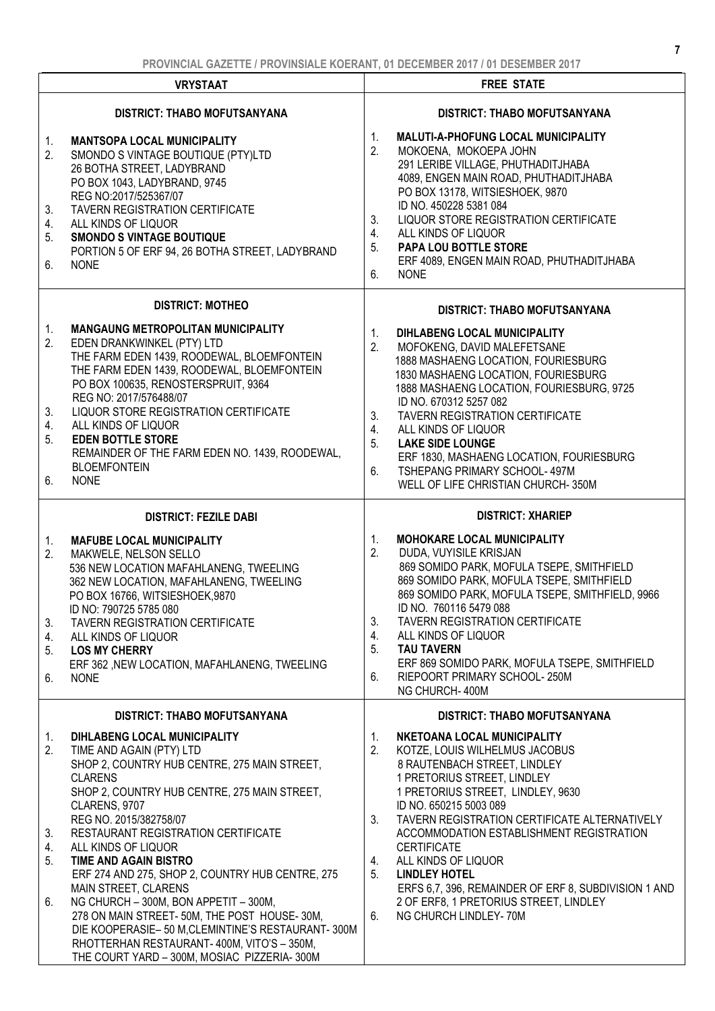|                                  | <b>VRYSTAAT</b>                                                                                                                                                                                                                                                                                                                                                                                                                                                                                                                                                                                                                             |                                  | <b>FREE STATE</b>                                                                                                                                                                                                                                                                                                                                                                                                                                                                        |
|----------------------------------|---------------------------------------------------------------------------------------------------------------------------------------------------------------------------------------------------------------------------------------------------------------------------------------------------------------------------------------------------------------------------------------------------------------------------------------------------------------------------------------------------------------------------------------------------------------------------------------------------------------------------------------------|----------------------------------|------------------------------------------------------------------------------------------------------------------------------------------------------------------------------------------------------------------------------------------------------------------------------------------------------------------------------------------------------------------------------------------------------------------------------------------------------------------------------------------|
|                                  | <b>DISTRICT: THABO MOFUTSANYANA</b>                                                                                                                                                                                                                                                                                                                                                                                                                                                                                                                                                                                                         |                                  | <b>DISTRICT: THABO MOFUTSANYANA</b>                                                                                                                                                                                                                                                                                                                                                                                                                                                      |
| 1.<br>2.<br>3.<br>4.<br>5.<br>6. | <b>MANTSOPA LOCAL MUNICIPALITY</b><br>SMONDO S VINTAGE BOUTIQUE (PTY)LTD<br>26 BOTHA STREET, LADYBRAND<br>PO BOX 1043, LADYBRAND, 9745<br>REG NO:2017/525367/07<br>TAVERN REGISTRATION CERTIFICATE<br>ALL KINDS OF LIQUOR<br><b>SMONDO S VINTAGE BOUTIQUE</b><br>PORTION 5 OF ERF 94, 26 BOTHA STREET, LADYBRAND<br><b>NONE</b>                                                                                                                                                                                                                                                                                                             | 1.<br>2.<br>3.<br>4.<br>5.<br>6. | <b>MALUTI-A-PHOFUNG LOCAL MUNICIPALITY</b><br>MOKOENA, MOKOEPA JOHN<br>291 LERIBE VILLAGE, PHUTHADITJHABA<br>4089, ENGEN MAIN ROAD, PHUTHADITJHABA<br>PO BOX 13178, WITSIESHOEK, 9870<br>ID NO. 450228 5381 084<br>LIQUOR STORE REGISTRATION CERTIFICATE<br>ALL KINDS OF LIQUOR<br>PAPA LOU BOTTLE STORE<br>ERF 4089, ENGEN MAIN ROAD, PHUTHADITJHABA<br><b>NONE</b>                                                                                                                     |
|                                  | <b>DISTRICT: MOTHEO</b>                                                                                                                                                                                                                                                                                                                                                                                                                                                                                                                                                                                                                     |                                  |                                                                                                                                                                                                                                                                                                                                                                                                                                                                                          |
| 1.<br>2.<br>3.<br>4.<br>5.<br>6. | <b>MANGAUNG METROPOLITAN MUNICIPALITY</b><br>EDEN DRANKWINKEL (PTY) LTD<br>THE FARM EDEN 1439, ROODEWAL, BLOEMFONTEIN<br>THE FARM EDEN 1439, ROODEWAL, BLOEMFONTEIN<br>PO BOX 100635, RENOSTERSPRUIT, 9364<br>REG NO: 2017/576488/07<br>LIQUOR STORE REGISTRATION CERTIFICATE<br>ALL KINDS OF LIQUOR<br><b>EDEN BOTTLE STORE</b><br>REMAINDER OF THE FARM EDEN NO. 1439, ROODEWAL,<br><b>BLOEMFONTEIN</b><br><b>NONE</b>                                                                                                                                                                                                                    | 1.<br>2.<br>3.<br>4.<br>5.<br>6. | <b>DISTRICT: THABO MOFUTSANYANA</b><br>DIHLABENG LOCAL MUNICIPALITY<br>MOFOKENG, DAVID MALEFETSANE<br>1888 MASHAENG LOCATION, FOURIESBURG<br>1830 MASHAENG LOCATION, FOURIESBURG<br>1888 MASHAENG LOCATION, FOURIESBURG, 9725<br>ID NO. 670312 5257 082<br>TAVERN REGISTRATION CERTIFICATE<br>ALL KINDS OF LIQUOR<br><b>LAKE SIDE LOUNGE</b><br>ERF 1830, MASHAENG LOCATION, FOURIESBURG<br>TSHEPANG PRIMARY SCHOOL-497M<br>WELL OF LIFE CHRISTIAN CHURCH-350M                           |
|                                  | <b>DISTRICT: FEZILE DABI</b>                                                                                                                                                                                                                                                                                                                                                                                                                                                                                                                                                                                                                |                                  | <b>DISTRICT: XHARIEP</b>                                                                                                                                                                                                                                                                                                                                                                                                                                                                 |
| 1.<br>2.<br>3.<br>4.<br>5.<br>6. | <b>MAFUBE LOCAL MUNICIPALITY</b><br>MAKWELE, NELSON SELLO<br>536 NEW LOCATION MAFAHLANENG, TWEELING<br>362 NEW LOCATION, MAFAHLANENG, TWEELING<br>PO BOX 16766, WITSIESHOEK, 9870<br>ID NO: 790725 5785 080<br><b>TAVERN REGISTRATION CERTIFICATE</b><br>ALL KINDS OF LIQUOR<br><b>LOS MY CHERRY</b><br>ERF 362, NEW LOCATION, MAFAHLANENG, TWEELING<br><b>NONE</b>                                                                                                                                                                                                                                                                         | 1.<br>2.<br>3.<br>4.<br>5.<br>6. | <b>MOHOKARE LOCAL MUNICIPALITY</b><br>DUDA, VUYISILE KRISJAN<br>869 SOMIDO PARK, MOFULA TSEPE, SMITHFIELD<br>869 SOMIDO PARK, MOFULA TSEPE, SMITHFIELD<br>869 SOMIDO PARK, MOFULA TSEPE, SMITHFIELD, 9966<br>ID NO. 760116 5479 088<br><b>TAVERN REGISTRATION CERTIFICATE</b><br>ALL KINDS OF LIQUOR<br><b>TAU TAVERN</b><br>ERF 869 SOMIDO PARK, MOFULA TSEPE, SMITHFIELD<br>RIEPOORT PRIMARY SCHOOL-250M<br>NG CHURCH-400M                                                             |
|                                  | <b>DISTRICT: THABO MOFUTSANYANA</b>                                                                                                                                                                                                                                                                                                                                                                                                                                                                                                                                                                                                         |                                  | DISTRICT: THABO MOFUTSANYANA                                                                                                                                                                                                                                                                                                                                                                                                                                                             |
| 1.<br>2.<br>3.<br>4.<br>5.<br>6. | DIHLABENG LOCAL MUNICIPALITY<br>TIME AND AGAIN (PTY) LTD<br>SHOP 2, COUNTRY HUB CENTRE, 275 MAIN STREET,<br><b>CLARENS</b><br>SHOP 2, COUNTRY HUB CENTRE, 275 MAIN STREET,<br>CLARENS, 9707<br>REG NO. 2015/382758/07<br>RESTAURANT REGISTRATION CERTIFICATE<br>ALL KINDS OF LIQUOR<br>TIME AND AGAIN BISTRO<br>ERF 274 AND 275, SHOP 2, COUNTRY HUB CENTRE, 275<br><b>MAIN STREET, CLARENS</b><br>NG CHURCH - 300M, BON APPETIT - 300M,<br>278 ON MAIN STREET-50M, THE POST HOUSE-30M,<br>DIE KOOPERASIE- 50 M, CLEMINTINE'S RESTAURANT- 300M<br>RHOTTERHAN RESTAURANT-400M, VITO'S - 350M,<br>THE COURT YARD - 300M, MOSIAC PIZZERIA-300M | 1.<br>2.<br>3.<br>4.<br>5.<br>6. | NKETOANA LOCAL MUNICIPALITY<br>KOTZE, LOUIS WILHELMUS JACOBUS<br>8 RAUTENBACH STREET, LINDLEY<br>1 PRETORIUS STREET, LINDLEY<br>1 PRETORIUS STREET, LINDLEY, 9630<br>ID NO. 650215 5003 089<br>TAVERN REGISTRATION CERTIFICATE ALTERNATIVELY<br>ACCOMMODATION ESTABLISHMENT REGISTRATION<br><b>CERTIFICATE</b><br>ALL KINDS OF LIQUOR<br><b>LINDLEY HOTEL</b><br>ERFS 6,7, 396, REMAINDER OF ERF 8, SUBDIVISION 1 AND<br>2 OF ERF8, 1 PRETORIUS STREET, LINDLEY<br>NG CHURCH LINDLEY-70M |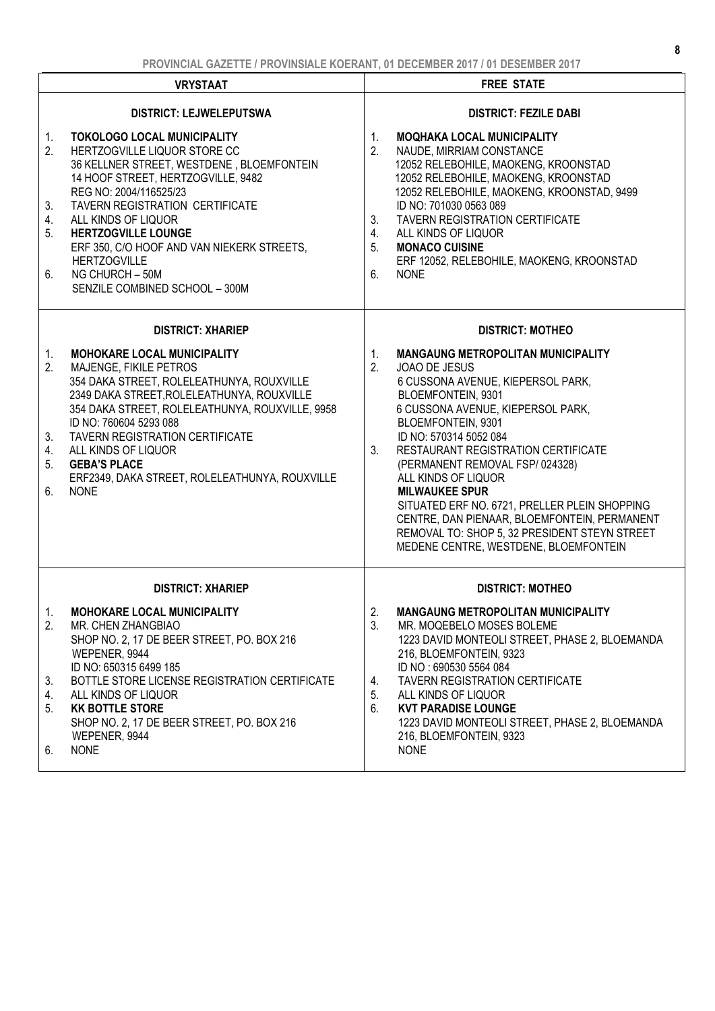| <b>VRYSTAAT</b>                                                                                                                                                                                                                                                                                                                                                                               |                                               | <b>FREE STATE</b>                                                                                                                                                                                                                                                                                                                                                                                                                                                                                                              |  |
|-----------------------------------------------------------------------------------------------------------------------------------------------------------------------------------------------------------------------------------------------------------------------------------------------------------------------------------------------------------------------------------------------|-----------------------------------------------|--------------------------------------------------------------------------------------------------------------------------------------------------------------------------------------------------------------------------------------------------------------------------------------------------------------------------------------------------------------------------------------------------------------------------------------------------------------------------------------------------------------------------------|--|
| <b>DISTRICT: LEJWELEPUTSWA</b>                                                                                                                                                                                                                                                                                                                                                                |                                               | <b>DISTRICT: FEZILE DABI</b>                                                                                                                                                                                                                                                                                                                                                                                                                                                                                                   |  |
| <b>TOKOLOGO LOCAL MUNICIPALITY</b><br>HERTZOGVILLE LIQUOR STORE CC<br>36 KELLNER STREET, WESTDENE, BLOEMFONTEIN<br>14 HOOF STREET, HERTZOGVILLE, 9482<br>REG NO: 2004/116525/23<br><b>TAVERN REGISTRATION CERTIFICATE</b>                                                                                                                                                                     | 1.<br>2.                                      | <b>MOQHAKA LOCAL MUNICIPALITY</b><br>NAUDE, MIRRIAM CONSTANCE<br>12052 RELEBOHILE, MAOKENG, KROONSTAD<br>12052 RELEBOHILE, MAOKENG, KROONSTAD<br>12052 RELEBOHILE, MAOKENG, KROONSTAD, 9499<br>ID NO: 701030 0563 089                                                                                                                                                                                                                                                                                                          |  |
| <b>HERTZOGVILLE LOUNGE</b><br>ERF 350, C/O HOOF AND VAN NIEKERK STREETS,<br><b>HERTZOGVILLE</b><br>NG CHURCH - 50M<br>SENZILE COMBINED SCHOOL - 300M                                                                                                                                                                                                                                          | 4.<br>5.<br>6.                                | <b>TAVERN REGISTRATION CERTIFICATE</b><br>ALL KINDS OF LIQUOR<br><b>MONACO CUISINE</b><br>ERF 12052, RELEBOHILE, MAOKENG, KROONSTAD<br><b>NONE</b>                                                                                                                                                                                                                                                                                                                                                                             |  |
| <b>DISTRICT: XHARIEP</b>                                                                                                                                                                                                                                                                                                                                                                      |                                               | <b>DISTRICT: MOTHEO</b>                                                                                                                                                                                                                                                                                                                                                                                                                                                                                                        |  |
| <b>MOHOKARE LOCAL MUNICIPALITY</b><br>MAJENGE, FIKILE PETROS<br>354 DAKA STREET, ROLELEATHUNYA, ROUXVILLE<br>2349 DAKA STREET, ROLELEATHUNYA, ROUXVILLE<br>354 DAKA STREET, ROLELEATHUNYA, ROUXVILLE, 9958<br>ID NO: 760604 5293 088<br><b>TAVERN REGISTRATION CERTIFICATE</b><br>ALL KINDS OF LIQUOR<br><b>GEBA'S PLACE</b><br>ERF2349, DAKA STREET, ROLELEATHUNYA, ROUXVILLE<br><b>NONE</b> | $1_{\cdot}$<br>2.<br>3.                       | <b>MANGAUNG METROPOLITAN MUNICIPALITY</b><br>JOAO DE JESUS<br>6 CUSSONA AVENUE, KIEPERSOL PARK,<br>BLOEMFONTEIN, 9301<br>6 CUSSONA AVENUE, KIEPERSOL PARK,<br>BLOEMFONTEIN, 9301<br>ID NO: 570314 5052 084<br>RESTAURANT REGISTRATION CERTIFICATE<br>(PERMANENT REMOVAL FSP/024328)<br>ALL KINDS OF LIQUOR<br><b>MILWAUKEE SPUR</b><br>SITUATED ERF NO. 6721, PRELLER PLEIN SHOPPING<br>CENTRE, DAN PIENAAR, BLOEMFONTEIN, PERMANENT<br>REMOVAL TO: SHOP 5, 32 PRESIDENT STEYN STREET<br>MEDENE CENTRE, WESTDENE, BLOEMFONTEIN |  |
| <b>DISTRICT: XHARIEP</b>                                                                                                                                                                                                                                                                                                                                                                      |                                               | <b>DISTRICT: MOTHEO</b>                                                                                                                                                                                                                                                                                                                                                                                                                                                                                                        |  |
| MOHOKARE LOCAL MUNICIPALITY<br>MR. CHEN ZHANGBIAO<br>SHOP NO. 2, 17 DE BEER STREET, PO. BOX 216<br>WEPENER, 9944                                                                                                                                                                                                                                                                              | 2.<br>3.                                      | <b>MANGAUNG METROPOLITAN MUNICIPALITY</b><br>MR. MOQEBELO MOSES BOLEME<br>1223 DAVID MONTEOLI STREET, PHASE 2, BLOEMANDA<br>216, BLOEMFONTEIN, 9323                                                                                                                                                                                                                                                                                                                                                                            |  |
| BOTTLE STORE LICENSE REGISTRATION CERTIFICATE<br>ALL KINDS OF LIQUOR<br><b>KK BOTTLE STORE</b><br>SHOP NO. 2, 17 DE BEER STREET, PO. BOX 216<br>WEPENER, 9944<br><b>NONE</b>                                                                                                                                                                                                                  | 4.<br>5.<br>6.                                | ID NO: 690530 5564 084<br><b>TAVERN REGISTRATION CERTIFICATE</b><br>ALL KINDS OF LIQUOR<br><b>KVT PARADISE LOUNGE</b><br>1223 DAVID MONTEOLI STREET, PHASE 2, BLOEMANDA<br>216, BLOEMFONTEIN, 9323<br><b>NONE</b>                                                                                                                                                                                                                                                                                                              |  |
|                                                                                                                                                                                                                                                                                                                                                                                               | ALL KINDS OF LIQUOR<br>ID NO: 650315 6499 185 | 3.                                                                                                                                                                                                                                                                                                                                                                                                                                                                                                                             |  |